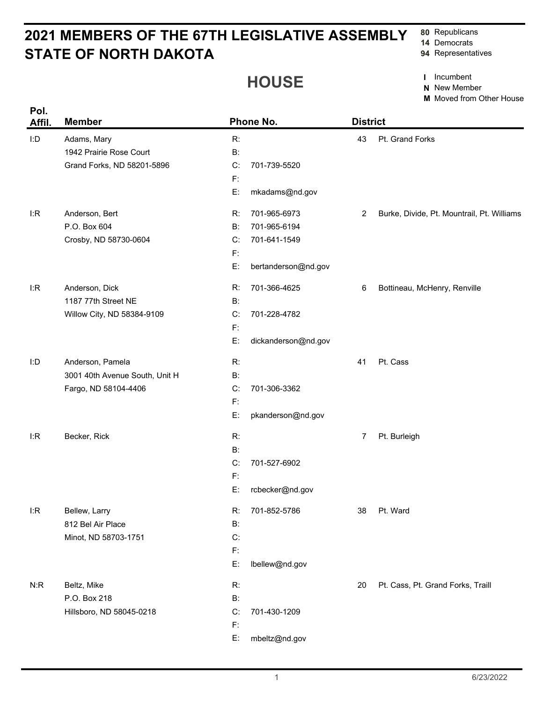## **STATE OF NORTH DAKOTA 2021 MEMBERS OF THE 67TH LEGISLATIVE ASSEMBLY**

**80** Republicans

- **14** Democrats
- **94** Representatives

## **HOUSE**

**I** Incumbent

**N** New Member

**M** Moved from Other House

| Pol.<br>Affil. | <b>Member</b>                  |                | Phone No.           | <b>District</b> |                                            |
|----------------|--------------------------------|----------------|---------------------|-----------------|--------------------------------------------|
| I:D            | Adams, Mary                    | R:             |                     | 43              | Pt. Grand Forks                            |
|                | 1942 Prairie Rose Court        | B:             |                     |                 |                                            |
|                | Grand Forks, ND 58201-5896     | C:             | 701-739-5520        |                 |                                            |
|                |                                | $\mathsf{F}$ : |                     |                 |                                            |
|                |                                | E:             | mkadams@nd.gov      |                 |                                            |
| I:R            | Anderson, Bert                 | R:             | 701-965-6973        | $\overline{2}$  | Burke, Divide, Pt. Mountrail, Pt. Williams |
|                | P.O. Box 604                   | B:             | 701-965-6194        |                 |                                            |
|                | Crosby, ND 58730-0604          | C:             | 701-641-1549        |                 |                                            |
|                |                                | $\mathsf{F}$ : |                     |                 |                                            |
|                |                                | E:             | bertanderson@nd.gov |                 |                                            |
| l:R            | Anderson, Dick                 | R:             | 701-366-4625        | 6               | Bottineau, McHenry, Renville               |
|                | 1187 77th Street NE            | B:             |                     |                 |                                            |
|                | Willow City, ND 58384-9109     | C:             | 701-228-4782        |                 |                                            |
|                |                                | $\mathsf{F}$ : |                     |                 |                                            |
|                |                                | E:             | dickanderson@nd.gov |                 |                                            |
| I:D            | Anderson, Pamela               | R:             |                     | 41              | Pt. Cass                                   |
|                | 3001 40th Avenue South, Unit H | B:             |                     |                 |                                            |
|                | Fargo, ND 58104-4406           | C:             | 701-306-3362        |                 |                                            |
|                |                                | $\mathsf{F}$ : |                     |                 |                                            |
|                |                                | E:             | pkanderson@nd.gov   |                 |                                            |
| l:R            | Becker, Rick                   | R:             |                     | 7               | Pt. Burleigh                               |
|                |                                | <b>B:</b>      |                     |                 |                                            |
|                |                                | C:             | 701-527-6902        |                 |                                            |
|                |                                | $\mathsf{F}$ : |                     |                 |                                            |
|                |                                | E:             | rcbecker@nd.gov     |                 |                                            |
| I:R            | Bellew, Larry                  | R:             | 701-852-5786        | 38              | Pt. Ward                                   |
|                | 812 Bel Air Place              | B:             |                     |                 |                                            |
|                | Minot, ND 58703-1751           | C:             |                     |                 |                                            |
|                |                                | $\mathsf{F}$ : |                     |                 |                                            |
|                |                                | E:             | lbellew@nd.gov      |                 |                                            |
| N:R            | Beltz, Mike                    | R:             |                     | 20              | Pt. Cass, Pt. Grand Forks, Traill          |
|                | P.O. Box 218                   | <b>B:</b>      |                     |                 |                                            |
|                | Hillsboro, ND 58045-0218       | C:             | 701-430-1209        |                 |                                            |
|                |                                | $F$ :          |                     |                 |                                            |
|                |                                | E:             | mbeltz@nd.gov       |                 |                                            |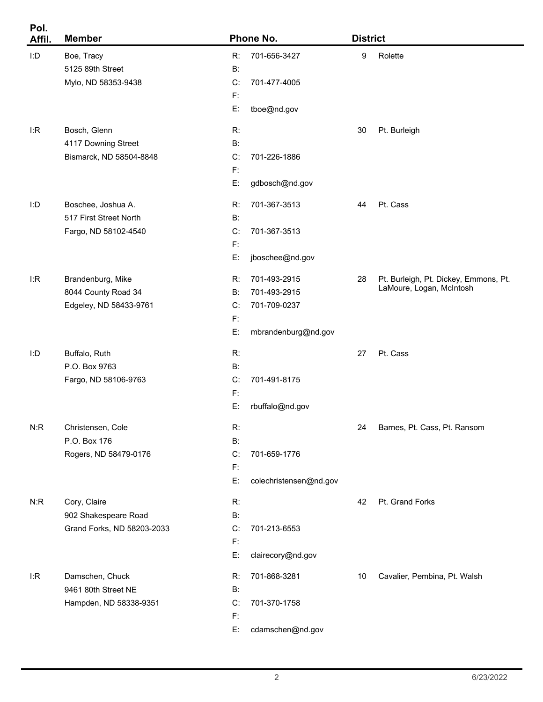| Pol.<br>Affil. | <b>Member</b>                                                        |                                             | Phone No.                                                           | <b>District</b>  |                                                                   |
|----------------|----------------------------------------------------------------------|---------------------------------------------|---------------------------------------------------------------------|------------------|-------------------------------------------------------------------|
| I:D            | Boe, Tracy<br>5125 89th Street<br>Mylo, ND 58353-9438                | R:<br>B:<br>C:<br>$F$ :                     | 701-656-3427<br>701-477-4005                                        | $\boldsymbol{9}$ | Rolette                                                           |
| I:R            | Bosch, Glenn<br>4117 Downing Street<br>Bismarck, ND 58504-8848       | E:<br>R:<br>B:<br>C:<br>$\mathsf{F}$<br>E:  | tboe@nd.gov<br>701-226-1886<br>gdbosch@nd.gov                       | 30               | Pt. Burleigh                                                      |
| I:D            | Boschee, Joshua A.<br>517 First Street North<br>Fargo, ND 58102-4540 | R:<br>B:<br>C:<br>$\mathsf{F}$<br>E:        | 701-367-3513<br>701-367-3513<br>jboschee@nd.gov                     | 44               | Pt. Cass                                                          |
| I:R            | Brandenburg, Mike<br>8044 County Road 34<br>Edgeley, ND 58433-9761   | R:<br>B:<br>C:<br>$\mathsf{F}$<br>E:        | 701-493-2915<br>701-493-2915<br>701-709-0237<br>mbrandenburg@nd.gov | 28               | Pt. Burleigh, Pt. Dickey, Emmons, Pt.<br>LaMoure, Logan, McIntosh |
| I:D            | Buffalo, Ruth<br>P.O. Box 9763<br>Fargo, ND 58106-9763               | R:<br>B:<br>C:<br>$\mathsf{F}$<br>E:        | 701-491-8175<br>rbuffalo@nd.gov                                     | 27               | Pt. Cass                                                          |
| N:R            | Christensen, Cole<br>P.O. Box 176<br>Rogers, ND 58479-0176           | R:<br>$B$ :<br>C:<br>$\mathsf{F}$<br>E:     | 701-659-1776<br>colechristensen@nd.gov                              | 24               | Barnes, Pt. Cass, Pt. Ransom                                      |
| N:R            | Cory, Claire<br>902 Shakespeare Road<br>Grand Forks, ND 58203-2033   | R:<br><b>B:</b><br>C:<br>$\mathsf{F}$<br>E: | 701-213-6553<br>clairecory@nd.gov                                   | 42               | Pt. Grand Forks                                                   |
| I:R            | Damschen, Chuck<br>9461 80th Street NE<br>Hampden, ND 58338-9351     | R:<br><b>B:</b><br>C:<br>$\mathsf{F}$<br>E: | 701-868-3281<br>701-370-1758<br>cdamschen@nd.gov                    | 10               | Cavalier, Pembina, Pt. Walsh                                      |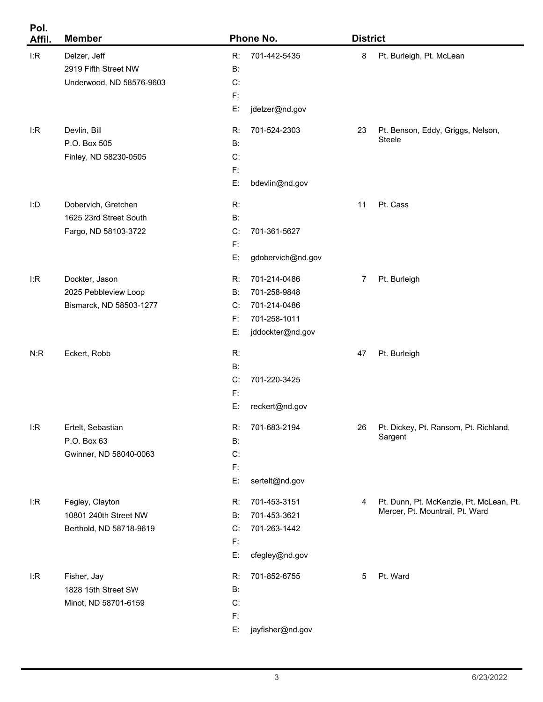| Pol.<br>Affil. | <b>Member</b>            |              | Phone No.         | <b>District</b> |                                         |
|----------------|--------------------------|--------------|-------------------|-----------------|-----------------------------------------|
| I:R            | Delzer, Jeff             | R:           | 701-442-5435      | 8               | Pt. Burleigh, Pt. McLean                |
|                | 2919 Fifth Street NW     | <b>B</b> :   |                   |                 |                                         |
|                | Underwood, ND 58576-9603 | C:           |                   |                 |                                         |
|                |                          | $F$ :        |                   |                 |                                         |
|                |                          | E:           | jdelzer@nd.gov    |                 |                                         |
| I:R            | Devlin, Bill             | R:           | 701-524-2303      | 23              | Pt. Benson, Eddy, Griggs, Nelson,       |
|                | P.O. Box 505             | B:           |                   |                 | Steele                                  |
|                | Finley, ND 58230-0505    | C:           |                   |                 |                                         |
|                |                          | $\mathsf{F}$ |                   |                 |                                         |
|                |                          | E:           | bdevlin@nd.gov    |                 |                                         |
| I:D            | Dobervich, Gretchen      | R:           |                   | 11              | Pt. Cass                                |
|                | 1625 23rd Street South   | B:           |                   |                 |                                         |
|                | Fargo, ND 58103-3722     | C:           | 701-361-5627      |                 |                                         |
|                |                          | $\mathsf{F}$ |                   |                 |                                         |
|                |                          | E:           | gdobervich@nd.gov |                 |                                         |
| I:R            | Dockter, Jason           | R:           | 701-214-0486      | 7               | Pt. Burleigh                            |
|                | 2025 Pebbleview Loop     | <b>B</b> :   | 701-258-9848      |                 |                                         |
|                | Bismarck, ND 58503-1277  | C:           | 701-214-0486      |                 |                                         |
|                |                          | F.           | 701-258-1011      |                 |                                         |
|                |                          | E:           | jddockter@nd.gov  |                 |                                         |
| N:R            | Eckert, Robb             | R:           |                   | 47              | Pt. Burleigh                            |
|                |                          | B:           |                   |                 |                                         |
|                |                          | C:           | 701-220-3425      |                 |                                         |
|                |                          | F:           |                   |                 |                                         |
|                |                          | E:           | reckert@nd.gov    |                 |                                         |
| I:R            | Ertelt, Sebastian        | R:           | 701-683-2194      | 26              | Pt. Dickey, Pt. Ransom, Pt. Richland,   |
|                | P.O. Box 63              | B:           |                   |                 | Sargent                                 |
|                | Gwinner, ND 58040-0063   | C:           |                   |                 |                                         |
|                |                          | $F$ :        |                   |                 |                                         |
|                |                          | E:           | sertelt@nd.gov    |                 |                                         |
| l:R            | Fegley, Clayton          | R:           | 701-453-3151      | 4               | Pt. Dunn, Pt. McKenzie, Pt. McLean, Pt. |
|                | 10801 240th Street NW    | B:           | 701-453-3621      |                 | Mercer, Pt. Mountrail, Pt. Ward         |
|                | Berthold, ND 58718-9619  | C:           | 701-263-1442      |                 |                                         |
|                |                          | $\mathsf{F}$ |                   |                 |                                         |
|                |                          | E:           | cfegley@nd.gov    |                 |                                         |
| l:R            | Fisher, Jay              | R:           | 701-852-6755      | $\sqrt{5}$      | Pt. Ward                                |
|                | 1828 15th Street SW      | B:           |                   |                 |                                         |
|                | Minot, ND 58701-6159     | C:           |                   |                 |                                         |
|                |                          | $\mathsf{F}$ |                   |                 |                                         |
|                |                          | E:           | jayfisher@nd.gov  |                 |                                         |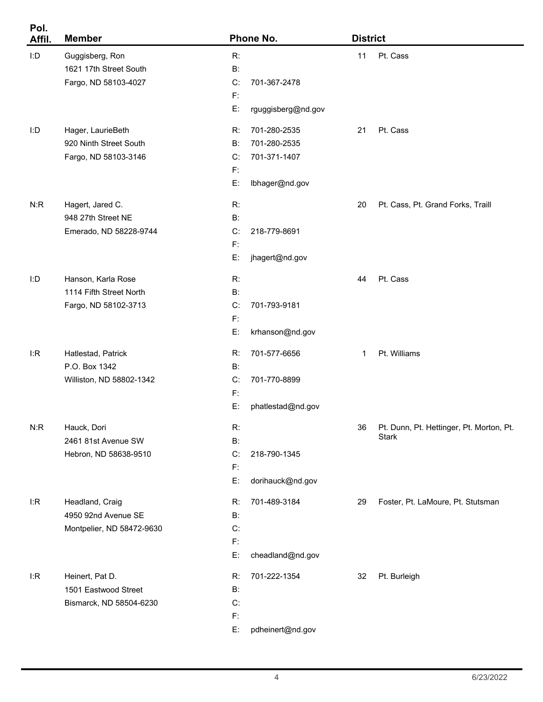| Pol.<br>Affil. | <b>Member</b>             |           | Phone No.          | <b>District</b> |                                          |
|----------------|---------------------------|-----------|--------------------|-----------------|------------------------------------------|
| I:D            | Guggisberg, Ron           | R:        |                    | 11              | Pt. Cass                                 |
|                | 1621 17th Street South    | $B$ :     |                    |                 |                                          |
|                | Fargo, ND 58103-4027      | C:        | 701-367-2478       |                 |                                          |
|                |                           | F:        |                    |                 |                                          |
|                |                           | E:        | rguggisberg@nd.gov |                 |                                          |
| I:D            | Hager, LaurieBeth         | R:        | 701-280-2535       | 21              | Pt. Cass                                 |
|                | 920 Ninth Street South    | B:        | 701-280-2535       |                 |                                          |
|                | Fargo, ND 58103-3146      | C:        | 701-371-1407       |                 |                                          |
|                |                           | F:        |                    |                 |                                          |
|                |                           | E:        | Ibhager@nd.gov     |                 |                                          |
| N:R            | Hagert, Jared C.          | R:        |                    | 20              | Pt. Cass, Pt. Grand Forks, Traill        |
|                | 948 27th Street NE        | $B$ :     |                    |                 |                                          |
|                | Emerado, ND 58228-9744    | C:        | 218-779-8691       |                 |                                          |
|                |                           | F:        |                    |                 |                                          |
|                |                           | E:        | jhagert@nd.gov     |                 |                                          |
| I:D            | Hanson, Karla Rose        | R:        |                    | 44              | Pt. Cass                                 |
|                | 1114 Fifth Street North   | $B$ :     |                    |                 |                                          |
|                | Fargo, ND 58102-3713      | C:        | 701-793-9181       |                 |                                          |
|                |                           | F:        |                    |                 |                                          |
|                |                           | E:        | krhanson@nd.gov    |                 |                                          |
| l:R            | Hatlestad, Patrick        | R:        | 701-577-6656       | $\mathbf{1}$    | Pt. Williams                             |
|                | P.O. Box 1342             | B:        |                    |                 |                                          |
|                | Williston, ND 58802-1342  | C:        | 701-770-8899       |                 |                                          |
|                |                           | F:        |                    |                 |                                          |
|                |                           | E:        | phatlestad@nd.gov  |                 |                                          |
| N:R            | Hauck, Dori               | R:        |                    | 36              | Pt. Dunn, Pt. Hettinger, Pt. Morton, Pt. |
|                | 2461 81st Avenue SW       | <b>B:</b> |                    |                 | <b>Stark</b>                             |
|                | Hebron, ND 58638-9510     | C:        | 218-790-1345       |                 |                                          |
|                |                           | F:        |                    |                 |                                          |
|                |                           | E:        | dorihauck@nd.gov   |                 |                                          |
| I:R            | Headland, Craig           | R:        | 701-489-3184       | 29              | Foster, Pt. LaMoure, Pt. Stutsman        |
|                | 4950 92nd Avenue SE       | B:        |                    |                 |                                          |
|                | Montpelier, ND 58472-9630 | C:        |                    |                 |                                          |
|                |                           | $F$ :     |                    |                 |                                          |
|                |                           | E:        | cheadland@nd.gov   |                 |                                          |
| I:R            | Heinert, Pat D.           | R:        | 701-222-1354       | 32              | Pt. Burleigh                             |
|                | 1501 Eastwood Street      | B:        |                    |                 |                                          |
|                | Bismarck, ND 58504-6230   | C:        |                    |                 |                                          |
|                |                           | F:        |                    |                 |                                          |
|                |                           | E:        | pdheinert@nd.gov   |                 |                                          |

۰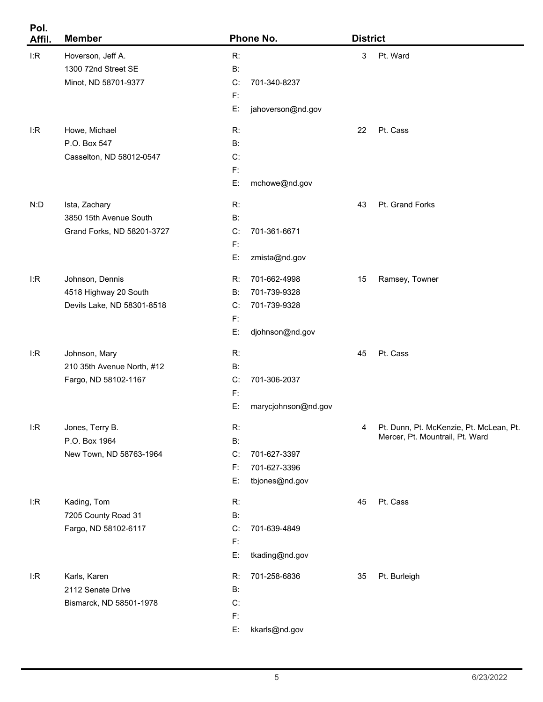| Pol.<br>Affil. | <b>Member</b>              |           | Phone No.           |    | <b>District</b>                                                            |  |  |
|----------------|----------------------------|-----------|---------------------|----|----------------------------------------------------------------------------|--|--|
| I:R            | Hoverson, Jeff A.          | R:        |                     | 3  | Pt. Ward                                                                   |  |  |
|                | 1300 72nd Street SE        | <b>B:</b> |                     |    |                                                                            |  |  |
|                | Minot, ND 58701-9377       | C:        | 701-340-8237        |    |                                                                            |  |  |
|                |                            | F:        |                     |    |                                                                            |  |  |
|                |                            | E:        | jahoverson@nd.gov   |    |                                                                            |  |  |
| I:R            | Howe, Michael              | R:        |                     | 22 | Pt. Cass                                                                   |  |  |
|                | P.O. Box 547               | <b>B:</b> |                     |    |                                                                            |  |  |
|                | Casselton, ND 58012-0547   | C:        |                     |    |                                                                            |  |  |
|                |                            | F:        |                     |    |                                                                            |  |  |
|                |                            | E:        | mchowe@nd.gov       |    |                                                                            |  |  |
| N:D            | Ista, Zachary              | R:        |                     | 43 | Pt. Grand Forks                                                            |  |  |
|                | 3850 15th Avenue South     | <b>B:</b> |                     |    |                                                                            |  |  |
|                | Grand Forks, ND 58201-3727 | C:        | 701-361-6671        |    |                                                                            |  |  |
|                |                            | F:        |                     |    |                                                                            |  |  |
|                |                            | E:        | zmista@nd.gov       |    |                                                                            |  |  |
| l:R            | Johnson, Dennis            | R:        | 701-662-4998        | 15 | Ramsey, Towner                                                             |  |  |
|                | 4518 Highway 20 South      | <b>B:</b> | 701-739-9328        |    |                                                                            |  |  |
|                | Devils Lake, ND 58301-8518 | C:        | 701-739-9328        |    |                                                                            |  |  |
|                |                            | F:        |                     |    |                                                                            |  |  |
|                |                            | E:        | djohnson@nd.gov     |    |                                                                            |  |  |
| I:R            | Johnson, Mary              | R:        |                     | 45 | Pt. Cass                                                                   |  |  |
|                | 210 35th Avenue North, #12 | <b>B:</b> |                     |    |                                                                            |  |  |
|                | Fargo, ND 58102-1167       | C:        | 701-306-2037        |    |                                                                            |  |  |
|                |                            | F:        |                     |    |                                                                            |  |  |
|                |                            | E:        | marycjohnson@nd.gov |    |                                                                            |  |  |
| I:R            | Jones, Terry B.            | R:        |                     | 4  | Pt. Dunn, Pt. McKenzie, Pt. McLean, Pt.<br>Mercer, Pt. Mountrail, Pt. Ward |  |  |
|                | P.O. Box 1964              | <b>B:</b> |                     |    |                                                                            |  |  |
|                | New Town, ND 58763-1964    | C:        | 701-627-3397        |    |                                                                            |  |  |
|                |                            | F:        | 701-627-3396        |    |                                                                            |  |  |
|                |                            | E:        | tbjones@nd.gov      |    |                                                                            |  |  |
| I:R            | Kading, Tom                | R:        |                     | 45 | Pt. Cass                                                                   |  |  |
|                | 7205 County Road 31        | <b>B:</b> |                     |    |                                                                            |  |  |
|                | Fargo, ND 58102-6117       | C:        | 701-639-4849        |    |                                                                            |  |  |
|                |                            | F:        |                     |    |                                                                            |  |  |
|                |                            | E:        | tkading@nd.gov      |    |                                                                            |  |  |
| I:R            | Karls, Karen               | R:        | 701-258-6836        | 35 | Pt. Burleigh                                                               |  |  |
|                | 2112 Senate Drive          | <b>B:</b> |                     |    |                                                                            |  |  |
|                | Bismarck, ND 58501-1978    | C:        |                     |    |                                                                            |  |  |
|                |                            | F:        |                     |    |                                                                            |  |  |
|                |                            | E:        | kkarls@nd.gov       |    |                                                                            |  |  |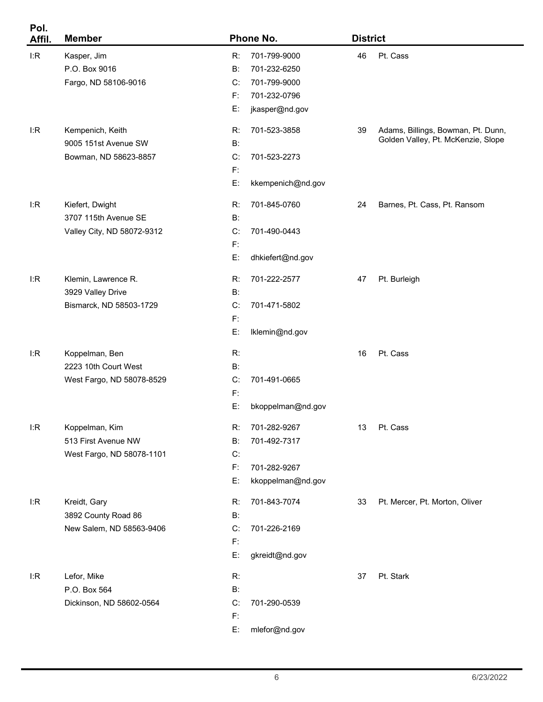| Pol.<br>Affil. | <b>Member</b>              |                | Phone No.         | <b>District</b> |                                    |
|----------------|----------------------------|----------------|-------------------|-----------------|------------------------------------|
| I:R            | Kasper, Jim                | R:             | 701-799-9000      | 46              | Pt. Cass                           |
|                | P.O. Box 9016              | B:             | 701-232-6250      |                 |                                    |
|                | Fargo, ND 58106-9016       | C:             | 701-799-9000      |                 |                                    |
|                |                            | F:             | 701-232-0796      |                 |                                    |
|                |                            | E:             | jkasper@nd.gov    |                 |                                    |
| l:R            | Kempenich, Keith           | R:             | 701-523-3858      | 39              | Adams, Billings, Bowman, Pt. Dunn, |
|                | 9005 151st Avenue SW       | B:             |                   |                 | Golden Valley, Pt. McKenzie, Slope |
|                | Bowman, ND 58623-8857      | C:             | 701-523-2273      |                 |                                    |
|                |                            | $\mathsf{F}$   |                   |                 |                                    |
|                |                            | E:             | kkempenich@nd.gov |                 |                                    |
| l:R            | Kiefert, Dwight            | R:             | 701-845-0760      | 24              | Barnes, Pt. Cass, Pt. Ransom       |
|                | 3707 115th Avenue SE       | B:             |                   |                 |                                    |
|                | Valley City, ND 58072-9312 | C:             | 701-490-0443      |                 |                                    |
|                |                            | F:             |                   |                 |                                    |
|                |                            | E:             | dhkiefert@nd.gov  |                 |                                    |
| l:R            | Klemin, Lawrence R.        | R:             | 701-222-2577      | 47              | Pt. Burleigh                       |
|                | 3929 Valley Drive          | B:             |                   |                 |                                    |
|                | Bismarck, ND 58503-1729    | C:             | 701-471-5802      |                 |                                    |
|                |                            | F:             |                   |                 |                                    |
|                |                            | E:             | Iklemin@nd.gov    |                 |                                    |
| l:R            | Koppelman, Ben             | R:             |                   | 16              | Pt. Cass                           |
|                | 2223 10th Court West       | B:             |                   |                 |                                    |
|                | West Fargo, ND 58078-8529  | C:             | 701-491-0665      |                 |                                    |
|                |                            | F:             |                   |                 |                                    |
|                |                            | E:             | bkoppelman@nd.gov |                 |                                    |
| l:R            | Koppelman, Kim             | R:             | 701-282-9267      | 13              | Pt. Cass                           |
|                | 513 First Avenue NW        | <b>B:</b>      | 701-492-7317      |                 |                                    |
|                | West Fargo, ND 58078-1101  | C:             |                   |                 |                                    |
|                |                            | $\mathsf{F}$ : | 701-282-9267      |                 |                                    |
|                |                            | E:             | kkoppelman@nd.gov |                 |                                    |
| l:R            | Kreidt, Gary               | R:             | 701-843-7074      | 33              | Pt. Mercer, Pt. Morton, Oliver     |
|                | 3892 County Road 86        | <b>B:</b>      |                   |                 |                                    |
|                | New Salem, ND 58563-9406   | C:             | 701-226-2169      |                 |                                    |
|                |                            | $\mathsf{F}$   |                   |                 |                                    |
|                |                            | E:             | gkreidt@nd.gov    |                 |                                    |
| l:R            | Lefor, Mike                | R:             |                   | 37              | Pt. Stark                          |
|                | P.O. Box 564               | <b>B:</b>      |                   |                 |                                    |
|                | Dickinson, ND 58602-0564   | C:             | 701-290-0539      |                 |                                    |
|                |                            | $\mathsf{F}$   |                   |                 |                                    |
|                |                            | E:             | mlefor@nd.gov     |                 |                                    |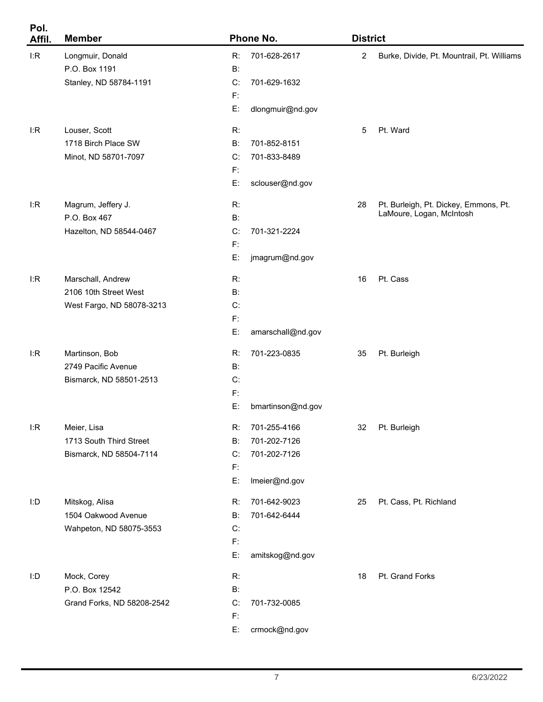| Pol.<br>Affil. | <b>Member</b>              |              | Phone No.         | <b>District</b> |                                            |
|----------------|----------------------------|--------------|-------------------|-----------------|--------------------------------------------|
| I:R            | Longmuir, Donald           | R:           | 701-628-2617      | $\overline{2}$  | Burke, Divide, Pt. Mountrail, Pt. Williams |
|                | P.O. Box 1191              | B:           |                   |                 |                                            |
|                | Stanley, ND 58784-1191     | C:           | 701-629-1632      |                 |                                            |
|                |                            | F:           |                   |                 |                                            |
|                |                            | E:           | dlongmuir@nd.gov  |                 |                                            |
| I:R            | Louser, Scott              | R:           |                   | 5               | Pt. Ward                                   |
|                | 1718 Birch Place SW        | $B$ :        | 701-852-8151      |                 |                                            |
|                | Minot, ND 58701-7097       | C:           | 701-833-8489      |                 |                                            |
|                |                            | F:           |                   |                 |                                            |
|                |                            | E:           | sclouser@nd.gov   |                 |                                            |
| I:R            | Magrum, Jeffery J.         | R:           |                   | 28              | Pt. Burleigh, Pt. Dickey, Emmons, Pt.      |
|                | P.O. Box 467               | $B$ :        |                   |                 | LaMoure, Logan, McIntosh                   |
|                | Hazelton, ND 58544-0467    | C:           | 701-321-2224      |                 |                                            |
|                |                            | F:           |                   |                 |                                            |
|                |                            | E:           | jmagrum@nd.gov    |                 |                                            |
| I:R            | Marschall, Andrew          | R:           |                   | 16              | Pt. Cass                                   |
|                | 2106 10th Street West      | <b>B:</b>    |                   |                 |                                            |
|                | West Fargo, ND 58078-3213  | C:           |                   |                 |                                            |
|                |                            | F:           |                   |                 |                                            |
|                |                            | E:           | amarschall@nd.gov |                 |                                            |
| I:R            | Martinson, Bob             | R:           | 701-223-0835      | 35              | Pt. Burleigh                               |
|                | 2749 Pacific Avenue        | B:           |                   |                 |                                            |
|                | Bismarck, ND 58501-2513    | C:           |                   |                 |                                            |
|                |                            | $\mathsf{F}$ |                   |                 |                                            |
|                |                            | E:           | bmartinson@nd.gov |                 |                                            |
| I:R            | Meier, Lisa                | R:           | 701-255-4166      | 32              | Pt. Burleigh                               |
|                | 1713 South Third Street    | B:           | 701-202-7126      |                 |                                            |
|                | Bismarck, ND 58504-7114    | C:           | 701-202-7126      |                 |                                            |
|                |                            | $\mathsf{F}$ |                   |                 |                                            |
|                |                            | E:           | Imeier@nd.gov     |                 |                                            |
| I:D            | Mitskog, Alisa             | R:           | 701-642-9023      | 25              | Pt. Cass, Pt. Richland                     |
|                | 1504 Oakwood Avenue        | B:           | 701-642-6444      |                 |                                            |
|                | Wahpeton, ND 58075-3553    | C:           |                   |                 |                                            |
|                |                            | $\mathsf{F}$ |                   |                 |                                            |
|                |                            | E:           | amitskog@nd.gov   |                 |                                            |
| I:D            | Mock, Corey                | R:           |                   | 18              | Pt. Grand Forks                            |
|                | P.O. Box 12542             | B:           |                   |                 |                                            |
|                | Grand Forks, ND 58208-2542 | C:           | 701-732-0085      |                 |                                            |
|                |                            | $\mathsf{F}$ |                   |                 |                                            |
|                |                            | E:           | crmock@nd.gov     |                 |                                            |
|                |                            |              |                   |                 |                                            |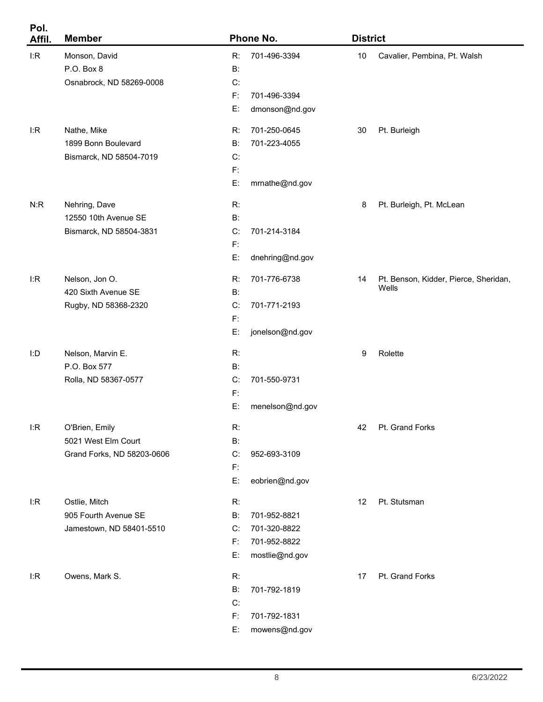| Pol.<br>Affil. | <b>Member</b>              |                | Phone No.       | <b>District</b> |                                       |
|----------------|----------------------------|----------------|-----------------|-----------------|---------------------------------------|
| I:R            | Monson, David              | R:             | 701-496-3394    | $10$            | Cavalier, Pembina, Pt. Walsh          |
|                | P.O. Box 8                 | <b>B:</b>      |                 |                 |                                       |
|                | Osnabrock, ND 58269-0008   | C:             |                 |                 |                                       |
|                |                            | $\mathsf{F}$ : | 701-496-3394    |                 |                                       |
|                |                            | E:             | dmonson@nd.gov  |                 |                                       |
| l:R            | Nathe, Mike                | R:             | 701-250-0645    | 30              | Pt. Burleigh                          |
|                | 1899 Bonn Boulevard        | <b>B:</b>      | 701-223-4055    |                 |                                       |
|                | Bismarck, ND 58504-7019    | C:             |                 |                 |                                       |
|                |                            | F:             |                 |                 |                                       |
|                |                            | E:             | mrnathe@nd.gov  |                 |                                       |
| N:R            | Nehring, Dave              | R:             |                 | 8               | Pt. Burleigh, Pt. McLean              |
|                | 12550 10th Avenue SE       | B:             |                 |                 |                                       |
|                | Bismarck, ND 58504-3831    | C:             | 701-214-3184    |                 |                                       |
|                |                            | $\mathsf{F}$ : |                 |                 |                                       |
|                |                            | E:             | dnehring@nd.gov |                 |                                       |
| l:R            | Nelson, Jon O.             | R:             | 701-776-6738    | 14              | Pt. Benson, Kidder, Pierce, Sheridan, |
|                | 420 Sixth Avenue SE        | B:             |                 |                 | Wells                                 |
|                | Rugby, ND 58368-2320       | C:             | 701-771-2193    |                 |                                       |
|                |                            | $\mathsf{F}$ : |                 |                 |                                       |
|                |                            | E:             | jonelson@nd.gov |                 |                                       |
| I:D            | Nelson, Marvin E.          | R:             |                 | 9               | Rolette                               |
|                | P.O. Box 577               | B:             |                 |                 |                                       |
|                | Rolla, ND 58367-0577       | C:             | 701-550-9731    |                 |                                       |
|                |                            | F:             |                 |                 |                                       |
|                |                            | E:             | menelson@nd.gov |                 |                                       |
| I:R            | O'Brien, Emily             | R:             |                 | 42              | Pt. Grand Forks                       |
|                | 5021 West Elm Court        | <b>B:</b>      |                 |                 |                                       |
|                | Grand Forks, ND 58203-0606 | C:             | 952-693-3109    |                 |                                       |
|                |                            | $\mathsf{F}$ : |                 |                 |                                       |
|                |                            | E:             | eobrien@nd.gov  |                 |                                       |
| I:R            | Ostlie, Mitch              | R:             |                 | 12              | Pt. Stutsman                          |
|                | 905 Fourth Avenue SE       | <b>B:</b>      | 701-952-8821    |                 |                                       |
|                | Jamestown, ND 58401-5510   | C:             | 701-320-8822    |                 |                                       |
|                |                            | F:             | 701-952-8822    |                 |                                       |
|                |                            | E:             | mostlie@nd.gov  |                 |                                       |
| l:R            | Owens, Mark S.             | R:             |                 | 17              | Pt. Grand Forks                       |
|                |                            | <b>B:</b>      | 701-792-1819    |                 |                                       |
|                |                            | C:             |                 |                 |                                       |
|                |                            | $\mathsf{F}$ : | 701-792-1831    |                 |                                       |
|                |                            | E:             | mowens@nd.gov   |                 |                                       |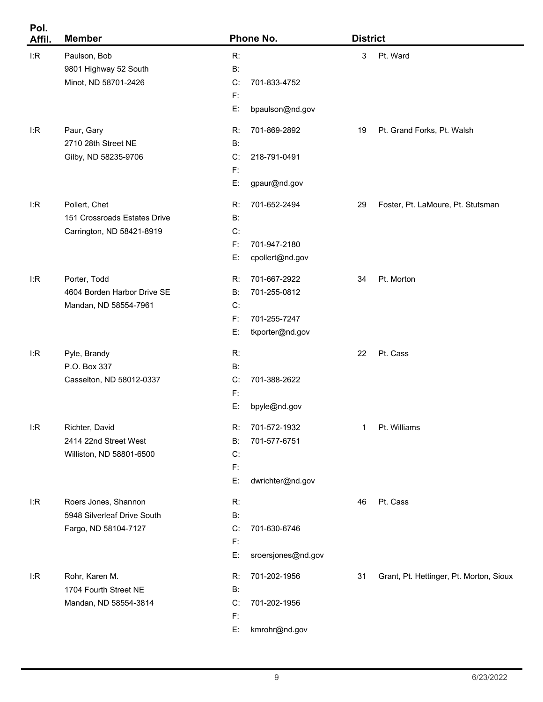| Pol.<br>Affil. | <b>Member</b>                |                | Phone No.          |    | <b>District</b>                         |  |  |
|----------------|------------------------------|----------------|--------------------|----|-----------------------------------------|--|--|
| I:R            | Paulson, Bob                 | R:             |                    | 3  | Pt. Ward                                |  |  |
|                | 9801 Highway 52 South        | $B$ :          |                    |    |                                         |  |  |
|                | Minot, ND 58701-2426         | C:             | 701-833-4752       |    |                                         |  |  |
|                |                              | $F$ :          |                    |    |                                         |  |  |
|                |                              | E:             | bpaulson@nd.gov    |    |                                         |  |  |
| I:R            | Paur, Gary                   | R:             | 701-869-2892       | 19 | Pt. Grand Forks, Pt. Walsh              |  |  |
|                | 2710 28th Street NE          | <b>B:</b>      |                    |    |                                         |  |  |
|                | Gilby, ND 58235-9706         | C:             | 218-791-0491       |    |                                         |  |  |
|                |                              | F:             |                    |    |                                         |  |  |
|                |                              | E:             | gpaur@nd.gov       |    |                                         |  |  |
| I:R            | Pollert, Chet                | R:             | 701-652-2494       | 29 | Foster, Pt. LaMoure, Pt. Stutsman       |  |  |
|                | 151 Crossroads Estates Drive | <b>B:</b>      |                    |    |                                         |  |  |
|                | Carrington, ND 58421-8919    | C:             |                    |    |                                         |  |  |
|                |                              | F:             | 701-947-2180       |    |                                         |  |  |
|                |                              | E:             | cpollert@nd.gov    |    |                                         |  |  |
| I:R            | Porter, Todd                 | R:             | 701-667-2922       | 34 | Pt. Morton                              |  |  |
|                | 4604 Borden Harbor Drive SE  | <b>B:</b>      | 701-255-0812       |    |                                         |  |  |
|                | Mandan, ND 58554-7961        | C:             |                    |    |                                         |  |  |
|                |                              | F.             | 701-255-7247       |    |                                         |  |  |
|                |                              | E:             | tkporter@nd.gov    |    |                                         |  |  |
| I:R            | Pyle, Brandy                 | R:             |                    | 22 | Pt. Cass                                |  |  |
|                | P.O. Box 337                 | B:             |                    |    |                                         |  |  |
|                | Casselton, ND 58012-0337     | C:             | 701-388-2622       |    |                                         |  |  |
|                |                              | F:             |                    |    |                                         |  |  |
|                |                              | E:             | bpyle@nd.gov       |    |                                         |  |  |
| I:R            | Richter, David               | R:             | 701-572-1932       | 1  | Pt. Williams                            |  |  |
|                | 2414 22nd Street West        | B:             | 701-577-6751       |    |                                         |  |  |
|                | Williston, ND 58801-6500     | C:             |                    |    |                                         |  |  |
|                |                              | F:             |                    |    |                                         |  |  |
|                |                              | E:             | dwrichter@nd.gov   |    |                                         |  |  |
| I:R            | Roers Jones, Shannon         | R:             |                    | 46 | Pt. Cass                                |  |  |
|                | 5948 Silverleaf Drive South  | $B$ :          |                    |    |                                         |  |  |
|                | Fargo, ND 58104-7127         | C:             | 701-630-6746       |    |                                         |  |  |
|                |                              | F:             |                    |    |                                         |  |  |
|                |                              | E:             | sroersjones@nd.gov |    |                                         |  |  |
| I:R            | Rohr, Karen M.               | R:             | 701-202-1956       | 31 | Grant, Pt. Hettinger, Pt. Morton, Sioux |  |  |
|                | 1704 Fourth Street NE        | <b>B:</b>      |                    |    |                                         |  |  |
|                | Mandan, ND 58554-3814        | C:             | 701-202-1956       |    |                                         |  |  |
|                |                              | $\mathsf{F}$ : |                    |    |                                         |  |  |
|                |                              | E:             | kmrohr@nd.gov      |    |                                         |  |  |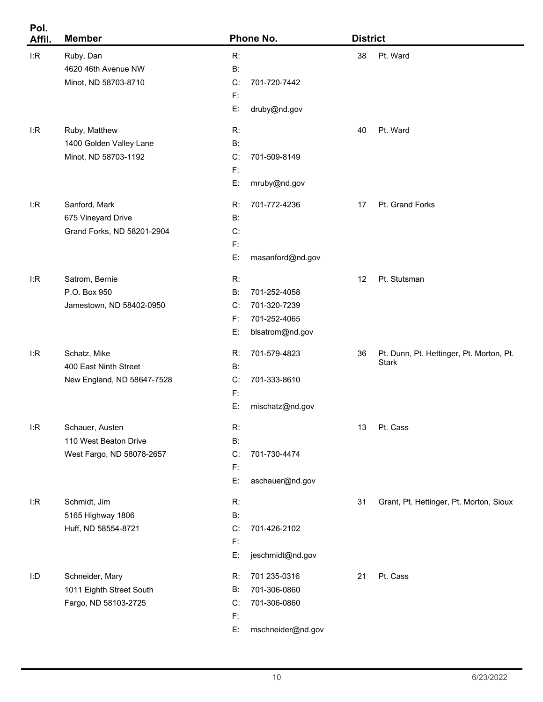| Pol.<br>Affil. | <b>Member</b>              |           | Phone No.         | <b>District</b> |                                          |
|----------------|----------------------------|-----------|-------------------|-----------------|------------------------------------------|
| I:R            | Ruby, Dan                  | R:        |                   | 38              | Pt. Ward                                 |
|                | 4620 46th Avenue NW        | $B$ :     |                   |                 |                                          |
|                | Minot, ND 58703-8710       | C:        | 701-720-7442      |                 |                                          |
|                |                            | $F$ :     |                   |                 |                                          |
|                |                            | E:        | druby@nd.gov      |                 |                                          |
| l:R            | Ruby, Matthew              | R:        |                   | 40              | Pt. Ward                                 |
|                | 1400 Golden Valley Lane    | <b>B:</b> |                   |                 |                                          |
|                | Minot, ND 58703-1192       | C:        | 701-509-8149      |                 |                                          |
|                |                            | $F$ :     |                   |                 |                                          |
|                |                            | E:        | mruby@nd.gov      |                 |                                          |
| l:R            | Sanford, Mark              | R:        | 701-772-4236      | 17              | Pt. Grand Forks                          |
|                | 675 Vineyard Drive         | B:        |                   |                 |                                          |
|                | Grand Forks, ND 58201-2904 | C:        |                   |                 |                                          |
|                |                            | F:        |                   |                 |                                          |
|                |                            | E:        | masanford@nd.gov  |                 |                                          |
| l:R            | Satrom, Bernie             | R:        |                   | 12              | Pt. Stutsman                             |
|                | P.O. Box 950               | B:        | 701-252-4058      |                 |                                          |
|                | Jamestown, ND 58402-0950   | C:        | 701-320-7239      |                 |                                          |
|                |                            | F:        | 701-252-4065      |                 |                                          |
|                |                            | E:        | blsatrom@nd.gov   |                 |                                          |
| l:R            | Schatz, Mike               | R:        | 701-579-4823      | 36              | Pt. Dunn, Pt. Hettinger, Pt. Morton, Pt. |
|                | 400 East Ninth Street      | B:        |                   |                 | Stark                                    |
|                | New England, ND 58647-7528 | C:        | 701-333-8610      |                 |                                          |
|                |                            | F:        |                   |                 |                                          |
|                |                            | E:        | mischatz@nd.gov   |                 |                                          |
| I:R            | Schauer, Austen            | R:        |                   | 13              | Pt. Cass                                 |
|                | 110 West Beaton Drive      | <b>B:</b> |                   |                 |                                          |
|                | West Fargo, ND 58078-2657  | C:        | 701-730-4474      |                 |                                          |
|                |                            | F:        |                   |                 |                                          |
|                |                            | E:        | aschauer@nd.gov   |                 |                                          |
| l:R            | Schmidt, Jim               | R:        |                   | 31              | Grant, Pt. Hettinger, Pt. Morton, Sioux  |
|                | 5165 Highway 1806          | <b>B:</b> |                   |                 |                                          |
|                | Huff, ND 58554-8721        | C:        | 701-426-2102      |                 |                                          |
|                |                            | F:        |                   |                 |                                          |
|                |                            | E:        | jeschmidt@nd.gov  |                 |                                          |
| I:D            | Schneider, Mary            | R:        | 701 235-0316      | 21              | Pt. Cass                                 |
|                | 1011 Eighth Street South   | B:        | 701-306-0860      |                 |                                          |
|                | Fargo, ND 58103-2725       | C:        | 701-306-0860      |                 |                                          |
|                |                            | F:        |                   |                 |                                          |
|                |                            | E:        | mschneider@nd.gov |                 |                                          |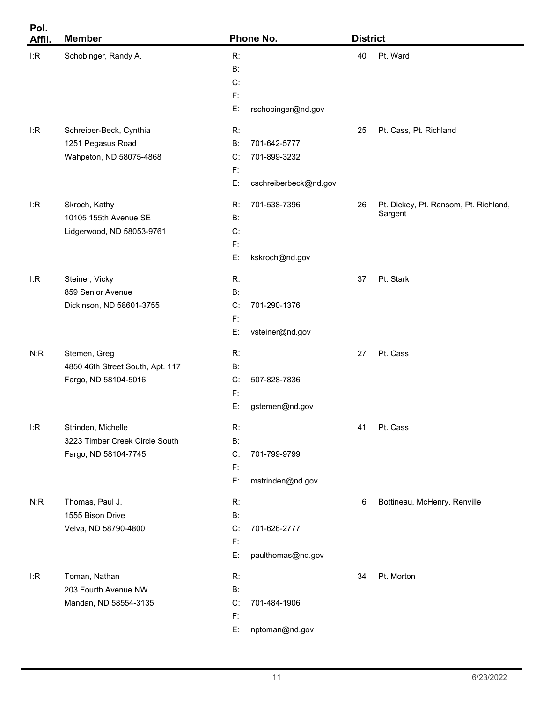| Pol.<br>Affil. | <b>Member</b>                    |                | Phone No.             |    | <b>District</b>                       |  |  |
|----------------|----------------------------------|----------------|-----------------------|----|---------------------------------------|--|--|
| I:R            | Schobinger, Randy A.             | R:             |                       | 40 | Pt. Ward                              |  |  |
|                |                                  | $B$ :          |                       |    |                                       |  |  |
|                |                                  | C:             |                       |    |                                       |  |  |
|                |                                  | F:             |                       |    |                                       |  |  |
|                |                                  | E:             | rschobinger@nd.gov    |    |                                       |  |  |
| l:R            | Schreiber-Beck, Cynthia          | R:             |                       | 25 | Pt. Cass, Pt. Richland                |  |  |
|                | 1251 Pegasus Road                | B:             | 701-642-5777          |    |                                       |  |  |
|                | Wahpeton, ND 58075-4868          | C:             | 701-899-3232          |    |                                       |  |  |
|                |                                  | $\mathsf{F}$   |                       |    |                                       |  |  |
|                |                                  | E:             | cschreiberbeck@nd.gov |    |                                       |  |  |
| l:R            | Skroch, Kathy                    | R:             | 701-538-7396          | 26 | Pt. Dickey, Pt. Ransom, Pt. Richland, |  |  |
|                | 10105 155th Avenue SE            | B:             |                       |    | Sargent                               |  |  |
|                | Lidgerwood, ND 58053-9761        | C:             |                       |    |                                       |  |  |
|                |                                  | F:             |                       |    |                                       |  |  |
|                |                                  | E:             | kskroch@nd.gov        |    |                                       |  |  |
| l:R            | Steiner, Vicky                   | R:             |                       | 37 | Pt. Stark                             |  |  |
|                | 859 Senior Avenue                | B:             |                       |    |                                       |  |  |
|                | Dickinson, ND 58601-3755         | C:             | 701-290-1376          |    |                                       |  |  |
|                |                                  | F:             |                       |    |                                       |  |  |
|                |                                  | E:             | vsteiner@nd.gov       |    |                                       |  |  |
| N:R            | Stemen, Greg                     | R:             |                       | 27 | Pt. Cass                              |  |  |
|                | 4850 46th Street South, Apt. 117 | B:             |                       |    |                                       |  |  |
|                | Fargo, ND 58104-5016             | C:             | 507-828-7836          |    |                                       |  |  |
|                |                                  | F:             |                       |    |                                       |  |  |
|                |                                  | E:             | gstemen@nd.gov        |    |                                       |  |  |
| I:R            | Strinden, Michelle               | R:             |                       | 41 | Pt. Cass                              |  |  |
|                | 3223 Timber Creek Circle South   | $B$ :          |                       |    |                                       |  |  |
|                | Fargo, ND 58104-7745             | C:             | 701-799-9799          |    |                                       |  |  |
|                |                                  | $\mathsf{F}$   |                       |    |                                       |  |  |
|                |                                  | E:             | mstrinden@nd.gov      |    |                                       |  |  |
| N:R            | Thomas, Paul J.                  | R:             |                       | 6  | Bottineau, McHenry, Renville          |  |  |
|                | 1555 Bison Drive                 | $B$ :          |                       |    |                                       |  |  |
|                | Velva, ND 58790-4800             | C:             | 701-626-2777          |    |                                       |  |  |
|                |                                  | $\mathsf{F}$   |                       |    |                                       |  |  |
|                |                                  | E:             | paulthomas@nd.gov     |    |                                       |  |  |
| l:R            | Toman, Nathan                    | R:             |                       | 34 | Pt. Morton                            |  |  |
|                | 203 Fourth Avenue NW             | $B$ :          |                       |    |                                       |  |  |
|                | Mandan, ND 58554-3135            | C:             | 701-484-1906          |    |                                       |  |  |
|                |                                  | $\mathsf{F}$ : |                       |    |                                       |  |  |
|                |                                  | E:             | nptoman@nd.gov        |    |                                       |  |  |

۰